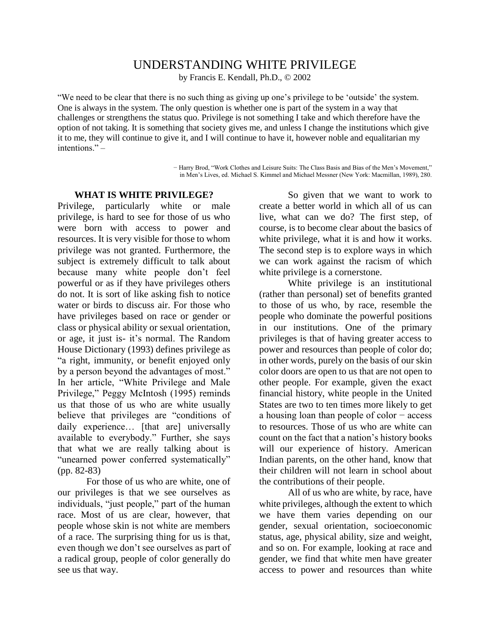## UNDERSTANDING WHITE PRIVILEGE

by Francis E. Kendall, Ph.D., © 2002

"We need to be clear that there is no such thing as giving up one's privilege to be 'outside' the system. One is always in the system. The only question is whether one is part of the system in a way that challenges or strengthens the status quo. Privilege is not something I take and which therefore have the option of not taking. It is something that society gives me, and unless I change the institutions which give it to me, they will continue to give it, and I will continue to have it, however noble and equalitarian my intentions." –

> − Harry Brod, "Work Clothes and Leisure Suits: The Class Basis and Bias of the Men's Movement," in Men's Lives, ed. Michael S. Kimmel and Michael Messner (New York: Macmillan, 1989), 280.

## **WHAT IS WHITE PRIVILEGE?**

Privilege, particularly white or male privilege, is hard to see for those of us who were born with access to power and resources. It is very visible for those to whom privilege was not granted. Furthermore, the subject is extremely difficult to talk about because many white people don't feel powerful or as if they have privileges others do not. It is sort of like asking fish to notice water or birds to discuss air. For those who have privileges based on race or gender or class or physical ability or sexual orientation, or age, it just is- it's normal. The Random House Dictionary (1993) defines privilege as "a right, immunity, or benefit enjoyed only by a person beyond the advantages of most." In her article, "White Privilege and Male Privilege," Peggy McIntosh (1995) reminds us that those of us who are white usually believe that privileges are "conditions of daily experience… [that are] universally available to everybody." Further, she says that what we are really talking about is "unearned power conferred systematically" (pp. 82-83)

For those of us who are white, one of our privileges is that we see ourselves as individuals, "just people," part of the human race. Most of us are clear, however, that people whose skin is not white are members of a race. The surprising thing for us is that, even though we don't see ourselves as part of a radical group, people of color generally do see us that way.

So given that we want to work to create a better world in which all of us can live, what can we do? The first step, of course, is to become clear about the basics of white privilege, what it is and how it works. The second step is to explore ways in which we can work against the racism of which white privilege is a cornerstone.

White privilege is an institutional (rather than personal) set of benefits granted to those of us who, by race, resemble the people who dominate the powerful positions in our institutions. One of the primary privileges is that of having greater access to power and resources than people of color do; in other words, purely on the basis of our skin color doors are open to us that are not open to other people. For example, given the exact financial history, white people in the United States are two to ten times more likely to get a housing loan than people of color − access to resources. Those of us who are white can count on the fact that a nation's history books will our experience of history. American Indian parents, on the other hand, know that their children will not learn in school about the contributions of their people.

All of us who are white, by race, have white privileges, although the extent to which we have them varies depending on our gender, sexual orientation, socioeconomic status, age, physical ability, size and weight, and so on. For example, looking at race and gender, we find that white men have greater access to power and resources than white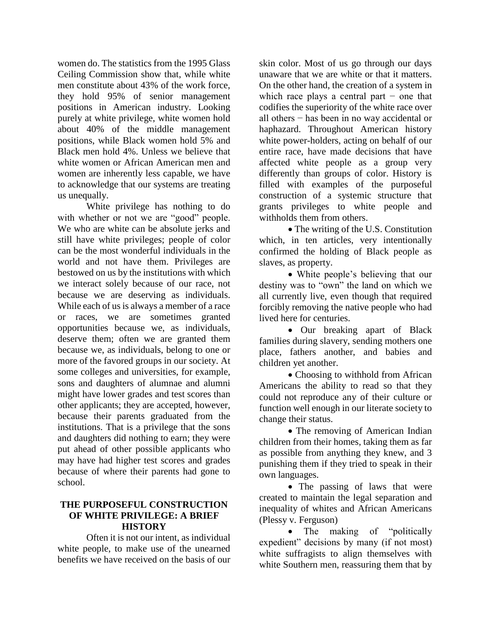women do. The statistics from the 1995 Glass Ceiling Commission show that, while white men constitute about 43% of the work force, they hold 95% of senior management positions in American industry. Looking purely at white privilege, white women hold about 40% of the middle management positions, while Black women hold 5% and Black men hold 4%. Unless we believe that white women or African American men and women are inherently less capable, we have to acknowledge that our systems are treating us unequally.

White privilege has nothing to do with whether or not we are "good" people. We who are white can be absolute jerks and still have white privileges; people of color can be the most wonderful individuals in the world and not have them. Privileges are bestowed on us by the institutions with which we interact solely because of our race, not because we are deserving as individuals. While each of us is always a member of a race or races, we are sometimes granted opportunities because we, as individuals, deserve them; often we are granted them because we, as individuals, belong to one or more of the favored groups in our society. At some colleges and universities, for example, sons and daughters of alumnae and alumni might have lower grades and test scores than other applicants; they are accepted, however, because their parents graduated from the institutions. That is a privilege that the sons and daughters did nothing to earn; they were put ahead of other possible applicants who may have had higher test scores and grades because of where their parents had gone to school.

## **THE PURPOSEFUL CONSTRUCTION OF WHITE PRIVILEGE: A BRIEF HISTORY**

Often it is not our intent, as individual white people, to make use of the unearned benefits we have received on the basis of our

skin color. Most of us go through our days unaware that we are white or that it matters. On the other hand, the creation of a system in which race plays a central part  $-$  one that codifies the superiority of the white race over all others − has been in no way accidental or haphazard. Throughout American history white power-holders, acting on behalf of our entire race, have made decisions that have affected white people as a group very differently than groups of color. History is filled with examples of the purposeful construction of a systemic structure that grants privileges to white people and withholds them from others.

• The writing of the U.S. Constitution which, in ten articles, very intentionally confirmed the holding of Black people as slaves, as property.

 White people's believing that our destiny was to "own" the land on which we all currently live, even though that required forcibly removing the native people who had lived here for centuries.

• Our breaking apart of Black families during slavery, sending mothers one place, fathers another, and babies and children yet another.

• Choosing to withhold from African Americans the ability to read so that they could not reproduce any of their culture or function well enough in our literate society to change their status.

• The removing of American Indian children from their homes, taking them as far as possible from anything they knew, and 3 punishing them if they tried to speak in their own languages.

• The passing of laws that were created to maintain the legal separation and inequality of whites and African Americans (Plessy v. Ferguson)

• The making of "politically expedient" decisions by many (if not most) white suffragists to align themselves with white Southern men, reassuring them that by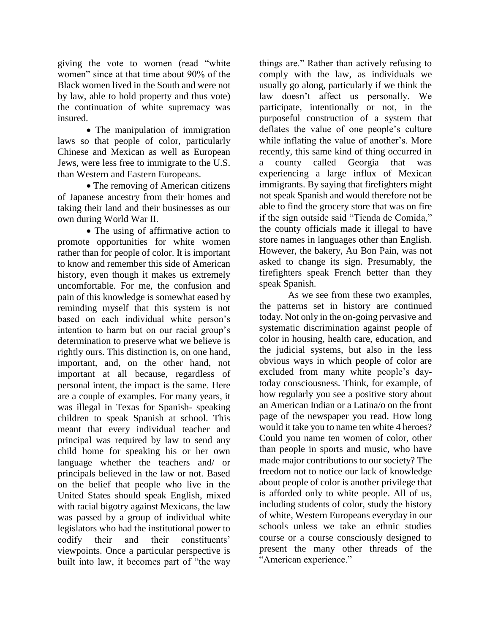giving the vote to women (read "white women" since at that time about 90% of the Black women lived in the South and were not by law, able to hold property and thus vote) the continuation of white supremacy was insured.

 The manipulation of immigration laws so that people of color, particularly Chinese and Mexican as well as European Jews, were less free to immigrate to the U.S. than Western and Eastern Europeans.

• The removing of American citizens of Japanese ancestry from their homes and taking their land and their businesses as our own during World War II.

• The using of affirmative action to promote opportunities for white women rather than for people of color. It is important to know and remember this side of American history, even though it makes us extremely uncomfortable. For me, the confusion and pain of this knowledge is somewhat eased by reminding myself that this system is not based on each individual white person's intention to harm but on our racial group's determination to preserve what we believe is rightly ours. This distinction is, on one hand, important, and, on the other hand, not important at all because, regardless of personal intent, the impact is the same. Here are a couple of examples. For many years, it was illegal in Texas for Spanish- speaking children to speak Spanish at school. This meant that every individual teacher and principal was required by law to send any child home for speaking his or her own language whether the teachers and/ or principals believed in the law or not. Based on the belief that people who live in the United States should speak English, mixed with racial bigotry against Mexicans, the law was passed by a group of individual white legislators who had the institutional power to codify their and their constituents' viewpoints. Once a particular perspective is built into law, it becomes part of "the way

things are." Rather than actively refusing to comply with the law, as individuals we usually go along, particularly if we think the law doesn't affect us personally. We participate, intentionally or not, in the purposeful construction of a system that deflates the value of one people's culture while inflating the value of another's. More recently, this same kind of thing occurred in a county called Georgia that was experiencing a large influx of Mexican immigrants. By saying that firefighters might not speak Spanish and would therefore not be able to find the grocery store that was on fire if the sign outside said "Tienda de Comida," the county officials made it illegal to have store names in languages other than English. However, the bakery, Au Bon Pain, was not asked to change its sign. Presumably, the firefighters speak French better than they speak Spanish.

As we see from these two examples, the patterns set in history are continued today. Not only in the on-going pervasive and systematic discrimination against people of color in housing, health care, education, and the judicial systems, but also in the less obvious ways in which people of color are excluded from many white people's daytoday consciousness. Think, for example, of how regularly you see a positive story about an American Indian or a Latina/o on the front page of the newspaper you read. How long would it take you to name ten white 4 heroes? Could you name ten women of color, other than people in sports and music, who have made major contributions to our society? The freedom not to notice our lack of knowledge about people of color is another privilege that is afforded only to white people. All of us, including students of color, study the history of white, Western Europeans everyday in our schools unless we take an ethnic studies course or a course consciously designed to present the many other threads of the "American experience."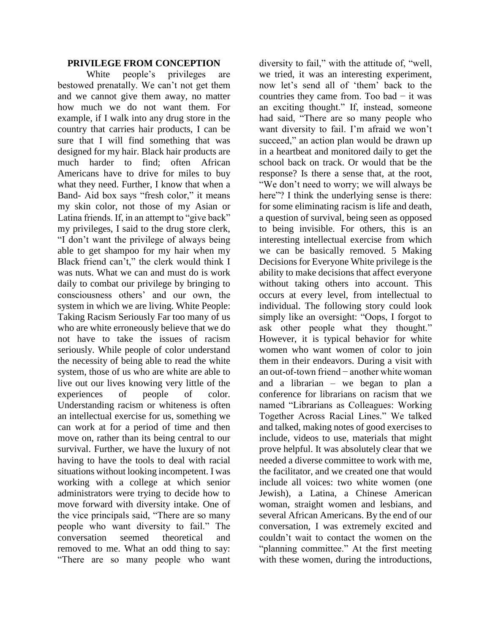## **PRIVILEGE FROM CONCEPTION**

White people's privileges are bestowed prenatally. We can't not get them and we cannot give them away, no matter how much we do not want them. For example, if I walk into any drug store in the country that carries hair products, I can be sure that I will find something that was designed for my hair. Black hair products are much harder to find; often African Americans have to drive for miles to buy what they need. Further, I know that when a Band- Aid box says "fresh color," it means my skin color, not those of my Asian or Latina friends. If, in an attempt to "give back" my privileges, I said to the drug store clerk, "I don't want the privilege of always being able to get shampoo for my hair when my Black friend can't," the clerk would think I was nuts. What we can and must do is work daily to combat our privilege by bringing to consciousness others' and our own, the system in which we are living. White People: Taking Racism Seriously Far too many of us who are white erroneously believe that we do not have to take the issues of racism seriously. While people of color understand the necessity of being able to read the white system, those of us who are white are able to live out our lives knowing very little of the experiences of people of color. Understanding racism or whiteness is often an intellectual exercise for us, something we can work at for a period of time and then move on, rather than its being central to our survival. Further, we have the luxury of not having to have the tools to deal with racial situations without looking incompetent. I was working with a college at which senior administrators were trying to decide how to move forward with diversity intake. One of the vice principals said, "There are so many people who want diversity to fail." The conversation seemed theoretical and removed to me. What an odd thing to say: "There are so many people who want

diversity to fail," with the attitude of, "well, we tried, it was an interesting experiment, now let's send all of 'them' back to the countries they came from. Too bad − it was an exciting thought." If, instead, someone had said, "There are so many people who want diversity to fail. I'm afraid we won't succeed," an action plan would be drawn up in a heartbeat and monitored daily to get the school back on track. Or would that be the response? Is there a sense that, at the root, "We don't need to worry; we will always be here"? I think the underlying sense is there: for some eliminating racism is life and death, a question of survival, being seen as opposed to being invisible. For others, this is an interesting intellectual exercise from which we can be basically removed. 5 Making Decisions for Everyone White privilege is the ability to make decisions that affect everyone without taking others into account. This occurs at every level, from intellectual to individual. The following story could look simply like an oversight: "Oops, I forgot to ask other people what they thought." However, it is typical behavior for white women who want women of color to join them in their endeavors. During a visit with an out-of-town friend − another white woman and a librarian – we began to plan a conference for librarians on racism that we named "Librarians as Colleagues: Working Together Across Racial Lines." We talked and talked, making notes of good exercises to include, videos to use, materials that might prove helpful. It was absolutely clear that we needed a diverse committee to work with me, the facilitator, and we created one that would include all voices: two white women (one Jewish), a Latina, a Chinese American woman, straight women and lesbians, and several African Americans. By the end of our conversation, I was extremely excited and couldn't wait to contact the women on the "planning committee." At the first meeting with these women, during the introductions,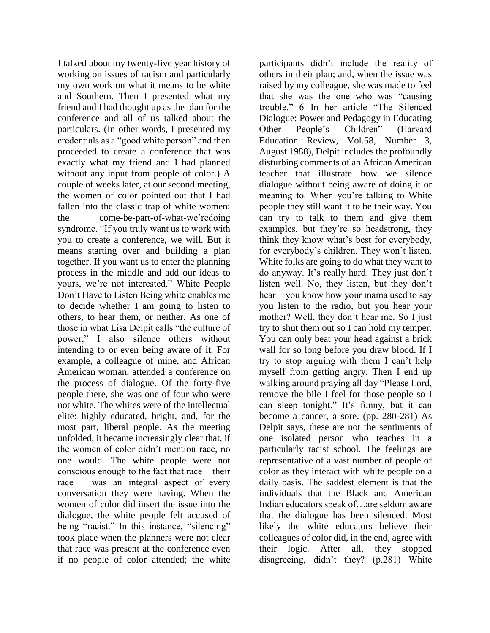I talked about my twenty-five year history of working on issues of racism and particularly my own work on what it means to be white and Southern. Then I presented what my friend and I had thought up as the plan for the conference and all of us talked about the particulars. (In other words, I presented my credentials as a "good white person" and then proceeded to create a conference that was exactly what my friend and I had planned without any input from people of color.) A couple of weeks later, at our second meeting, the women of color pointed out that I had fallen into the classic trap of white women: the come-be-part-of-what-we'redoing syndrome. "If you truly want us to work with you to create a conference, we will. But it means starting over and building a plan together. If you want us to enter the planning process in the middle and add our ideas to yours, we're not interested." White People Don't Have to Listen Being white enables me to decide whether I am going to listen to others, to hear them, or neither. As one of those in what Lisa Delpit calls "the culture of power," I also silence others without intending to or even being aware of it. For example, a colleague of mine, and African American woman, attended a conference on the process of dialogue. Of the forty-five people there, she was one of four who were not white. The whites were of the intellectual elite: highly educated, bright, and, for the most part, liberal people. As the meeting unfolded, it became increasingly clear that, if the women of color didn't mention race, no one would. The white people were not conscious enough to the fact that race − their race − was an integral aspect of every conversation they were having. When the women of color did insert the issue into the dialogue, the white people felt accused of being "racist." In this instance, "silencing" took place when the planners were not clear that race was present at the conference even if no people of color attended; the white

participants didn't include the reality of others in their plan; and, when the issue was raised by my colleague, she was made to feel that she was the one who was "causing trouble." 6 In her article "The Silenced Dialogue: Power and Pedagogy in Educating Other People's Children" (Harvard Education Review, Vol.58, Number 3, August 1988), Delpit includes the profoundly disturbing comments of an African American teacher that illustrate how we silence dialogue without being aware of doing it or meaning to. When you're talking to White people they still want it to be their way. You can try to talk to them and give them examples, but they're so headstrong, they think they know what's best for everybody, for everybody's children. They won't listen. White folks are going to do what they want to do anyway. It's really hard. They just don't listen well. No, they listen, but they don't hear – you know how your mama used to say you listen to the radio, but you hear your mother? Well, they don't hear me. So I just try to shut them out so I can hold my temper. You can only beat your head against a brick wall for so long before you draw blood. If I try to stop arguing with them I can't help myself from getting angry. Then I end up walking around praying all day "Please Lord, remove the bile I feel for those people so I can sleep tonight." It's funny, but it can become a cancer, a sore. (pp. 280-281) As Delpit says, these are not the sentiments of one isolated person who teaches in a particularly racist school. The feelings are representative of a vast number of people of color as they interact with white people on a daily basis. The saddest element is that the individuals that the Black and American Indian educators speak of…are seldom aware that the dialogue has been silenced. Most likely the white educators believe their colleagues of color did, in the end, agree with their logic. After all, they stopped disagreeing, didn't they? (p.281) White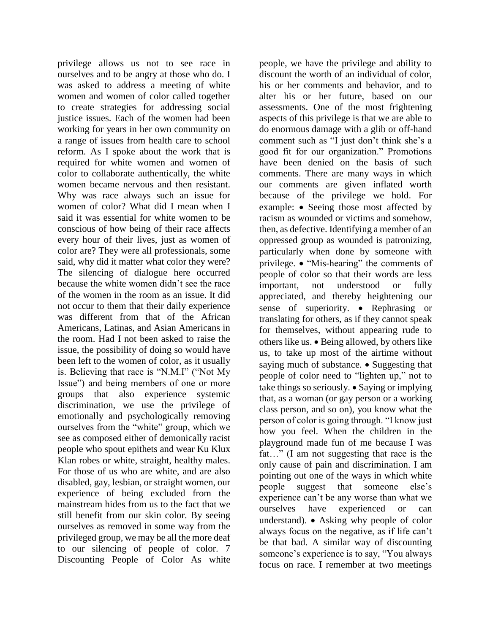privilege allows us not to see race in ourselves and to be angry at those who do. I was asked to address a meeting of white women and women of color called together to create strategies for addressing social justice issues. Each of the women had been working for years in her own community on a range of issues from health care to school reform. As I spoke about the work that is required for white women and women of color to collaborate authentically, the white women became nervous and then resistant. Why was race always such an issue for women of color? What did I mean when I said it was essential for white women to be conscious of how being of their race affects every hour of their lives, just as women of color are? They were all professionals, some said, why did it matter what color they were? The silencing of dialogue here occurred because the white women didn't see the race of the women in the room as an issue. It did not occur to them that their daily experience was different from that of the African Americans, Latinas, and Asian Americans in the room. Had I not been asked to raise the issue, the possibility of doing so would have been left to the women of color, as it usually is. Believing that race is "N.M.I" ("Not My Issue") and being members of one or more groups that also experience systemic discrimination, we use the privilege of emotionally and psychologically removing ourselves from the "white" group, which we see as composed either of demonically racist people who spout epithets and wear Ku Klux Klan robes or white, straight, healthy males. For those of us who are white, and are also disabled, gay, lesbian, or straight women, our experience of being excluded from the mainstream hides from us to the fact that we still benefit from our skin color. By seeing ourselves as removed in some way from the privileged group, we may be all the more deaf to our silencing of people of color. 7 Discounting People of Color As white

people, we have the privilege and ability to discount the worth of an individual of color, his or her comments and behavior, and to alter his or her future, based on our assessments. One of the most frightening aspects of this privilege is that we are able to do enormous damage with a glib or off-hand comment such as "I just don't think she's a good fit for our organization." Promotions have been denied on the basis of such comments. There are many ways in which our comments are given inflated worth because of the privilege we hold. For example: • Seeing those most affected by racism as wounded or victims and somehow, then, as defective. Identifying a member of an oppressed group as wounded is patronizing, particularly when done by someone with privilege. • "Mis-hearing" the comments of people of color so that their words are less important, not understood or fully appreciated, and thereby heightening our sense of superiority. • Rephrasing or translating for others, as if they cannot speak for themselves, without appearing rude to others like us. Being allowed, by others like us, to take up most of the airtime without saying much of substance.  $\bullet$  Suggesting that people of color need to "lighten up," not to take things so seriously. • Saying or implying that, as a woman (or gay person or a working class person, and so on), you know what the person of color is going through. "I know just how you feel. When the children in the playground made fun of me because I was fat…" (I am not suggesting that race is the only cause of pain and discrimination. I am pointing out one of the ways in which white people suggest that someone else's experience can't be any worse than what we ourselves have experienced or can understand). Asking why people of color always focus on the negative, as if life can't be that bad. A similar way of discounting someone's experience is to say, "You always focus on race. I remember at two meetings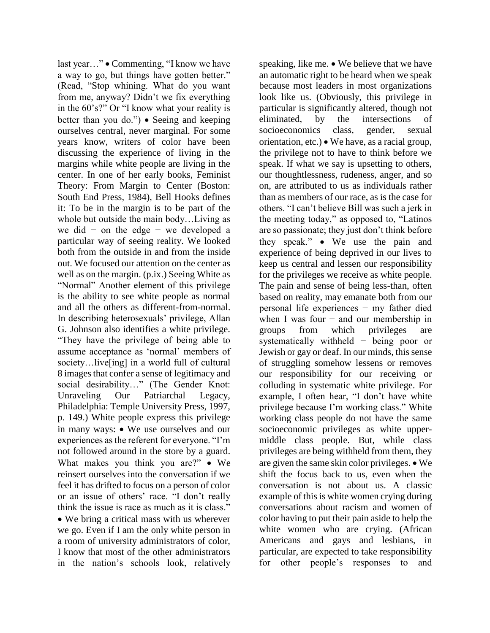last year..." • Commenting, "I know we have a way to go, but things have gotten better." (Read, "Stop whining. What do you want from me, anyway? Didn't we fix everything in the 60's?" Or "I know what your reality is better than you do.") • Seeing and keeping ourselves central, never marginal. For some years know, writers of color have been discussing the experience of living in the margins while white people are living in the center. In one of her early books, Feminist Theory: From Margin to Center (Boston: South End Press, 1984), Bell Hooks defines it: To be in the margin is to be part of the whole but outside the main body…Living as we did − on the edge − we developed a particular way of seeing reality. We looked both from the outside in and from the inside out. We focused our attention on the center as well as on the margin. (p.ix.) Seeing White as "Normal" Another element of this privilege is the ability to see white people as normal and all the others as different-from-normal. In describing heterosexuals' privilege, Allan G. Johnson also identifies a white privilege. "They have the privilege of being able to assume acceptance as 'normal' members of society...live[ing] in a world full of cultural 8 images that confer a sense of legitimacy and social desirability…" (The Gender Knot: Unraveling Our Patriarchal Legacy, Philadelphia: Temple University Press, 1997, p. 149.) White people express this privilege in many ways:  $\bullet$  We use ourselves and our experiences as the referent for everyone. "I'm not followed around in the store by a guard. What makes you think you are?" • We reinsert ourselves into the conversation if we feel it has drifted to focus on a person of color or an issue of others' race. "I don't really think the issue is race as much as it is class." We bring a critical mass with us wherever we go. Even if I am the only white person in a room of university administrators of color, I know that most of the other administrators in the nation's schools look, relatively

speaking, like me. • We believe that we have an automatic right to be heard when we speak because most leaders in most organizations look like us. (Obviously, this privilege in particular is significantly altered, though not eliminated, by the intersections of socioeconomics class, gender, sexual orientation, etc.) We have, as a racial group, the privilege not to have to think before we speak. If what we say is upsetting to others, our thoughtlessness, rudeness, anger, and so on, are attributed to us as individuals rather than as members of our race, as is the case for others. "I can't believe Bill was such a jerk in the meeting today," as opposed to, "Latinos are so passionate; they just don't think before they speak." We use the pain and experience of being deprived in our lives to keep us central and lessen our responsibility for the privileges we receive as white people. The pain and sense of being less-than, often based on reality, may emanate both from our personal life experiences − my father died when I was four  $-$  and our membership in groups from which privileges are systematically withheld − being poor or Jewish or gay or deaf. In our minds, this sense of struggling somehow lessens or removes our responsibility for our receiving or colluding in systematic white privilege. For example, I often hear, "I don't have white privilege because I'm working class." White working class people do not have the same socioeconomic privileges as white uppermiddle class people. But, while class privileges are being withheld from them, they are given the same skin color privileges.  $\bullet$  We shift the focus back to us, even when the conversation is not about us. A classic example of this is white women crying during conversations about racism and women of color having to put their pain aside to help the white women who are crying. (African Americans and gays and lesbians, in particular, are expected to take responsibility for other people's responses to and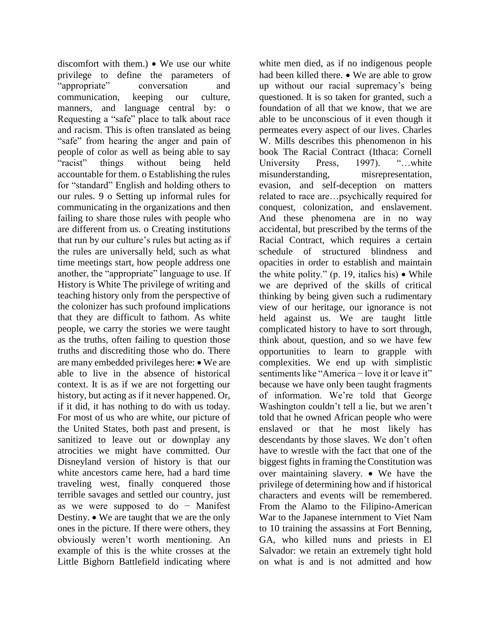discomfort with them.)  $\bullet$  We use our white privilege to define the parameters of "appropriate" conversation and communication, keeping our culture, manners, and language central by: o Requesting a "safe" place to talk about race and racism. This is often translated as being "safe" from hearing the anger and pain of people of color as well as being able to say "racist" things without being held accountable for them. o Establishing the rules for "standard" English and holding others to our rules. 9 o Setting up informal rules for communicating in the organizations and then failing to share those rules with people who are different from us. o Creating institutions that run by our culture's rules but acting as if the rules are universally held, such as what time meetings start, how people address one another, the "appropriate" language to use. If History is White The privilege of writing and teaching history only from the perspective of the colonizer has such profound implications that they are difficult to fathom. As white people, we carry the stories we were taught as the truths, often failing to question those truths and discrediting those who do. There are many embedded privileges here: • We are able to live in the absence of historical context. It is as if we are not forgetting our history, but acting as if it never happened. Or, if it did, it has nothing to do with us today. For most of us who are white, our picture of the United States, both past and present, is sanitized to leave out or downplay any atrocities we might have committed. Our Disneyland version of history is that our white ancestors came here, had a hard time traveling west, finally conquered those terrible savages and settled our country, just as we were supposed to do − Manifest Destiny. We are taught that we are the only ones in the picture. If there were others, they obviously weren't worth mentioning. An example of this is the white crosses at the Little Bighorn Battlefield indicating where

white men died, as if no indigenous people had been killed there.  $\bullet$  We are able to grow up without our racial supremacy's being questioned. It is so taken for granted, such a foundation of all that we know, that we are able to be unconscious of it even though it permeates every aspect of our lives. Charles W. Mills describes this phenomenon in his book The Racial Contract (Ithaca: Cornell University Press, 1997). "...white misunderstanding, misrepresentation, evasion, and self-deception on matters related to race are…psychically required for conquest, colonization, and enslavement. And these phenomena are in no way accidental, but prescribed by the terms of the Racial Contract, which requires a certain schedule of structured blindness and opacities in order to establish and maintain the white polity." (p. 19, italics his)  $\bullet$  While we are deprived of the skills of critical thinking by being given such a rudimentary view of our heritage, our ignorance is not held against us. We are taught little complicated history to have to sort through, think about, question, and so we have few opportunities to learn to grapple with complexities. We end up with simplistic sentiments like "America – love it or leave it" because we have only been taught fragments of information. We're told that George Washington couldn't tell a lie, but we aren't told that he owned African people who were enslaved or that he most likely has descendants by those slaves. We don't often have to wrestle with the fact that one of the biggest fights in framing the Constitution was over maintaining slavery. • We have the privilege of determining how and if historical characters and events will be remembered. From the Alamo to the Filipino-American War to the Japanese internment to Viet Nam to 10 training the assassins at Fort Benning, GA, who killed nuns and priests in El Salvador: we retain an extremely tight hold on what is and is not admitted and how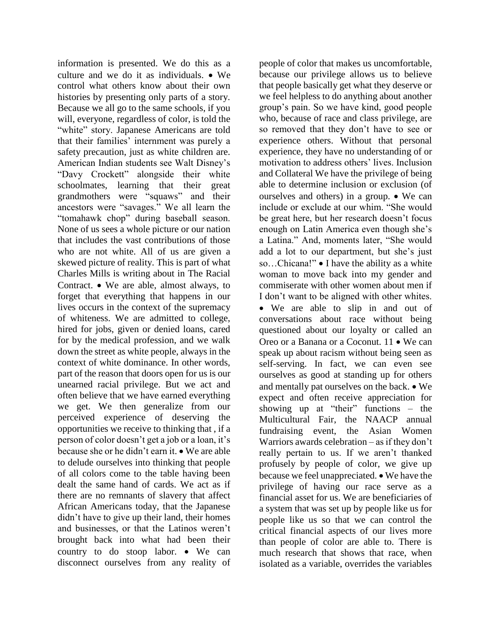information is presented. We do this as a culture and we do it as individuals.  $\bullet$  We control what others know about their own histories by presenting only parts of a story. Because we all go to the same schools, if you will, everyone, regardless of color, is told the "white" story. Japanese Americans are told that their families' internment was purely a safety precaution, just as white children are. American Indian students see Walt Disney's "Davy Crockett" alongside their white schoolmates, learning that their great grandmothers were "squaws" and their ancestors were "savages." We all learn the "tomahawk chop" during baseball season. None of us sees a whole picture or our nation that includes the vast contributions of those who are not white. All of us are given a skewed picture of reality. This is part of what Charles Mills is writing about in The Racial Contract. We are able, almost always, to forget that everything that happens in our lives occurs in the context of the supremacy of whiteness. We are admitted to college, hired for jobs, given or denied loans, cared for by the medical profession, and we walk down the street as white people, always in the context of white dominance. In other words, part of the reason that doors open for us is our unearned racial privilege. But we act and often believe that we have earned everything we get. We then generalize from our perceived experience of deserving the opportunities we receive to thinking that , if a person of color doesn't get a job or a loan, it's because she or he didn't earn it.  $\bullet$  We are able to delude ourselves into thinking that people of all colors come to the table having been dealt the same hand of cards. We act as if there are no remnants of slavery that affect African Americans today, that the Japanese didn't have to give up their land, their homes and businesses, or that the Latinos weren't brought back into what had been their country to do stoop labor.  $\bullet$  We can disconnect ourselves from any reality of people of color that makes us uncomfortable, because our privilege allows us to believe that people basically get what they deserve or we feel helpless to do anything about another group's pain. So we have kind, good people who, because of race and class privilege, are so removed that they don't have to see or experience others. Without that personal experience, they have no understanding of or motivation to address others' lives. Inclusion and Collateral We have the privilege of being able to determine inclusion or exclusion (of ourselves and others) in a group.  $\bullet$  We can include or exclude at our whim. "She would be great here, but her research doesn't focus enough on Latin America even though she's a Latina." And, moments later, "She would add a lot to our department, but she's just so...Chicana!" • I have the ability as a white woman to move back into my gender and commiserate with other women about men if I don't want to be aligned with other whites.

 We are able to slip in and out of conversations about race without being questioned about our loyalty or called an Oreo or a Banana or a Coconut. 11 • We can speak up about racism without being seen as self-serving. In fact, we can even see ourselves as good at standing up for others and mentally pat ourselves on the back.  $\bullet$  We expect and often receive appreciation for showing up at "their" functions – the Multicultural Fair, the NAACP annual fundraising event, the Asian Women Warriors awards celebration – as if they don't really pertain to us. If we aren't thanked profusely by people of color, we give up because we feel unappreciated. • We have the privilege of having our race serve as a financial asset for us. We are beneficiaries of a system that was set up by people like us for people like us so that we can control the critical financial aspects of our lives more than people of color are able to. There is much research that shows that race, when isolated as a variable, overrides the variables